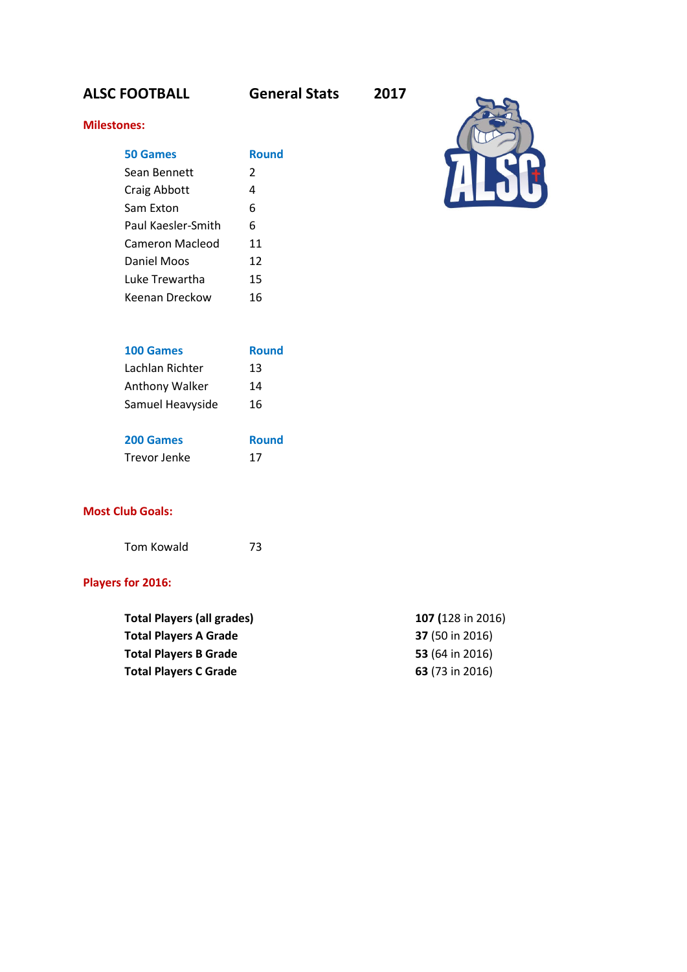## **ALSC FOOTBALL General Stats 2017**

## **Milestones:**

| 50 Games           | Round         |
|--------------------|---------------|
| Sean Bennett       | $\mathcal{P}$ |
| Craig Abbott       | 4             |
| Sam Exton          | 6             |
| Paul Kaesler-Smith | 6             |
| Cameron Macleod    | 11            |
| Daniel Moos        | 12            |
| Luke Trewartha     | 15            |
| Keenan Dreckow     | 16            |



| 100 Games        | <b>Round</b> |
|------------------|--------------|
| Lachlan Richter  | 13           |
| Anthony Walker   | 14           |
| Samuel Heavyside | 16           |
|                  |              |

| 200 Games    | <b>Round</b> |
|--------------|--------------|
| Trevor Jenke | 17           |

## **Most Club Goals:**

Tom Kowald 73

## **Players for 2016:**

| <b>Total Players (all grades)</b> | 107 (128 in 2016)      |
|-----------------------------------|------------------------|
| <b>Total Players A Grade</b>      | <b>37</b> (50 in 2016) |
| <b>Total Players B Grade</b>      | 53 (64 in 2016)        |
| <b>Total Players C Grade</b>      | 63 (73 in 2016)        |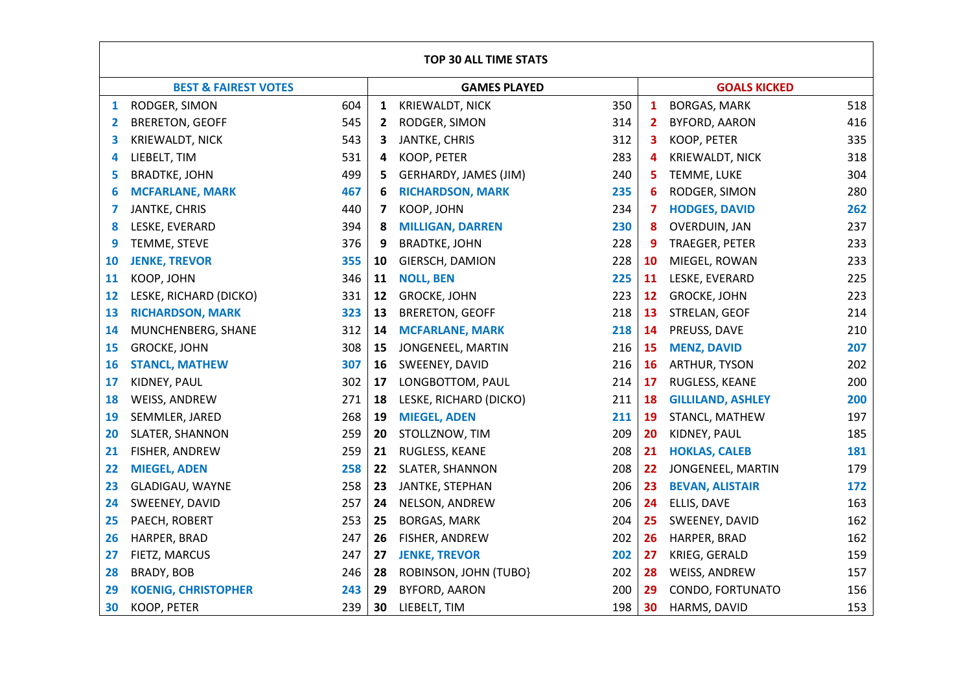|              | <b>TOP 30 ALL TIME STATS</b>      |  |    |                         |     |           |                          |     |
|--------------|-----------------------------------|--|----|-------------------------|-----|-----------|--------------------------|-----|
|              | <b>BEST &amp; FAIREST VOTES</b>   |  |    | <b>GAMES PLAYED</b>     |     |           | <b>GOALS KICKED</b>      |     |
| $\mathbf{1}$ | 604<br>RODGER, SIMON              |  | 1  | KRIEWALDT, NICK         | 350 | 1         | <b>BORGAS, MARK</b>      | 518 |
| 2            | 545<br><b>BRERETON, GEOFF</b>     |  | 2  | RODGER, SIMON           | 314 | 2         | <b>BYFORD, AARON</b>     | 416 |
| 3            | 543<br><b>KRIEWALDT, NICK</b>     |  | 3  | JANTKE, CHRIS           | 312 | 3         | KOOP, PETER              | 335 |
| 4            | 531<br>LIEBELT, TIM               |  | 4  | KOOP, PETER             | 283 | 4         | KRIEWALDT, NICK          | 318 |
| 5            | 499<br><b>BRADTKE, JOHN</b>       |  | 5  | GERHARDY, JAMES (JIM)   | 240 | 5         | TEMME, LUKE              | 304 |
| 6            | 467<br><b>MCFARLANE, MARK</b>     |  | 6  | <b>RICHARDSON, MARK</b> | 235 | 6         | RODGER, SIMON            | 280 |
| 7            | 440<br>JANTKE, CHRIS              |  | 7  | KOOP, JOHN              | 234 | 7         | <b>HODGES, DAVID</b>     | 262 |
| 8            | 394<br>LESKE, EVERARD             |  | 8  | <b>MILLIGAN, DARREN</b> | 230 | 8         | OVERDUIN, JAN            | 237 |
| 9            | 376<br>TEMME, STEVE               |  | 9  | <b>BRADTKE, JOHN</b>    | 228 | 9         | TRAEGER, PETER           | 233 |
| 10           | 355<br><b>JENKE, TREVOR</b>       |  | 10 | GIERSCH, DAMION         | 228 | 10        | MIEGEL, ROWAN            | 233 |
| 11           | 346<br>KOOP, JOHN                 |  | 11 | <b>NOLL, BEN</b>        | 225 | 11        | LESKE, EVERARD           | 225 |
| 12           | 331<br>LESKE, RICHARD (DICKO)     |  | 12 | <b>GROCKE, JOHN</b>     | 223 | 12        | <b>GROCKE, JOHN</b>      | 223 |
| 13           | 323<br><b>RICHARDSON, MARK</b>    |  | 13 | <b>BRERETON, GEOFF</b>  | 218 | 13        | STRELAN, GEOF            | 214 |
| 14           | 312<br>MUNCHENBERG, SHANE         |  | 14 | <b>MCFARLANE, MARK</b>  | 218 | 14        | PREUSS, DAVE             | 210 |
| 15           | 308<br><b>GROCKE, JOHN</b>        |  | 15 | JONGENEEL, MARTIN       | 216 | 15        | <b>MENZ, DAVID</b>       | 207 |
| 16           | 307<br><b>STANCL, MATHEW</b>      |  | 16 | SWEENEY, DAVID          | 216 | <b>16</b> | ARTHUR, TYSON            | 202 |
| 17           | 302<br>KIDNEY, PAUL               |  | 17 | LONGBOTTOM, PAUL        | 214 | 17        | RUGLESS, KEANE           | 200 |
| 18           | 271<br>WEISS, ANDREW              |  | 18 | LESKE, RICHARD (DICKO)  | 211 | 18        | <b>GILLILAND, ASHLEY</b> | 200 |
| 19           | 268<br>SEMMLER, JARED             |  | 19 | <b>MIEGEL, ADEN</b>     | 211 | 19        | STANCL, MATHEW           | 197 |
| 20           | 259<br>SLATER, SHANNON            |  | 20 | STOLLZNOW, TIM          | 209 | 20        | KIDNEY, PAUL             | 185 |
| 21           | 259<br>FISHER, ANDREW             |  | 21 | RUGLESS, KEANE          | 208 | 21        | <b>HOKLAS, CALEB</b>     | 181 |
| 22           | 258<br><b>MIEGEL, ADEN</b>        |  | 22 | <b>SLATER, SHANNON</b>  | 208 | 22        | JONGENEEL, MARTIN        | 179 |
| 23           | 258<br>GLADIGAU, WAYNE            |  | 23 | JANTKE, STEPHAN         | 206 | 23        | <b>BEVAN, ALISTAIR</b>   | 172 |
| 24           | 257<br>SWEENEY, DAVID             |  | 24 | NELSON, ANDREW          | 206 | 24        | ELLIS, DAVE              | 163 |
| 25           | 253<br>PAECH, ROBERT              |  | 25 | <b>BORGAS, MARK</b>     | 204 | 25        | SWEENEY, DAVID           | 162 |
| 26           | 247<br>HARPER, BRAD               |  | 26 | FISHER, ANDREW          | 202 | 26        | HARPER, BRAD             | 162 |
| 27           | 247<br>FIETZ, MARCUS              |  | 27 | <b>JENKE, TREVOR</b>    | 202 | 27        | KRIEG, GERALD            | 159 |
| 28           | 246<br>BRADY, BOB                 |  | 28 | ROBINSON, JOHN (TUBO)   | 202 | 28        | WEISS, ANDREW            | 157 |
| 29           | 243<br><b>KOENIG, CHRISTOPHER</b> |  | 29 | <b>BYFORD, AARON</b>    | 200 | 29        | CONDO, FORTUNATO         | 156 |
| 30           | 239<br><b>KOOP, PETER</b>         |  | 30 | LIEBELT, TIM            | 198 | 30        | HARMS, DAVID             | 153 |